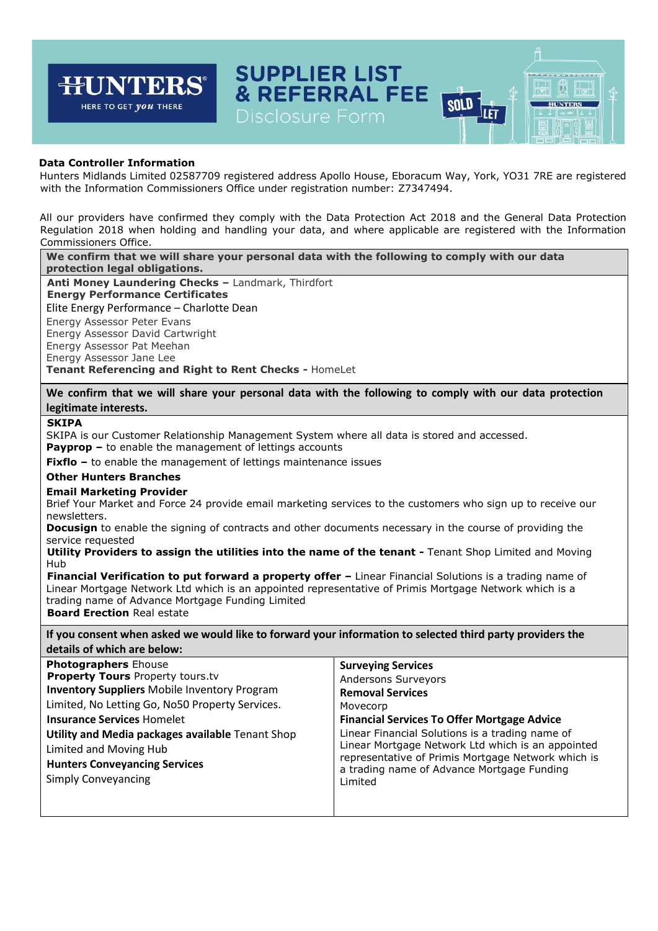

## **Data Controller Information**

Hunters Midlands Limited 02587709 registered address Apollo House, Eboracum Way, York, YO31 7RE are registered with the Information Commissioners Office under registration number: Z7347494.

All our providers have confirmed they comply with the Data Protection Act 2018 and the General Data Protection Regulation 2018 when holding and handling your data, and where applicable are registered with the Information Commissioners Office.

**We confirm that we will share your personal data with the following to comply with our data protection legal obligations.** 

**Anti Money Laundering Checks –** Landmark, Thirdfort **Energy Performance Certificates**  Elite Energy Performance – Charlotte Dean Energy Assessor Peter Evans Energy Assessor David Cartwright Energy Assessor Pat Meehan Energy Assessor Jane Lee **Tenant Referencing and Right to Rent Checks -** HomeLet

**We confirm that we will share your personal data with the following to comply with our data protection legitimate interests.** 

### **SKIPA**

SKIPA is our Customer Relationship Management System where all data is stored and accessed.

**Payprop –** to enable the management of lettings accounts

**Fixflo** – to enable the management of lettings maintenance issues

### **Other Hunters Branches**

#### **Email Marketing Provider**

Brief Your Market and Force 24 provide email marketing services to the customers who sign up to receive our newsletters.

**Docusign** to enable the signing of contracts and other documents necessary in the course of providing the service requested

**Utility Providers to assign the utilities into the name of the tenant -** Tenant Shop Limited and Moving Hub

**Financial Verification to put forward a property offer – Linear Financial Solutions is a trading name of** Linear Mortgage Network Ltd which is an appointed representative of Primis Mortgage Network which is a trading name of Advance Mortgage Funding Limited **Board Erection** Real estate

**If you consent when asked we would like to forward your information to selected third party providers the details of which are below:** 

| Movecorp<br><b>Financial Services To Offer Mortgage Advice</b><br>Linear Financial Solutions is a trading name of<br>Linear Mortgage Network Ltd which is an appointed<br>representative of Primis Mortgage Network which is<br>a trading name of Advance Mortgage Funding<br>Limited | <b>Photographers Ehouse</b><br><b>Property Tours Property tours.tv</b><br><b>Inventory Suppliers Mobile Inventory Program</b><br>Limited, No Letting Go, No50 Property Services.<br><b>Insurance Services Homelet</b><br>Utility and Media packages available Tenant Shop<br>Limited and Moving Hub<br><b>Hunters Conveyancing Services</b><br><b>Simply Conveyancing</b> | <b>Surveying Services</b><br>Andersons Surveyors<br><b>Removal Services</b> |
|---------------------------------------------------------------------------------------------------------------------------------------------------------------------------------------------------------------------------------------------------------------------------------------|---------------------------------------------------------------------------------------------------------------------------------------------------------------------------------------------------------------------------------------------------------------------------------------------------------------------------------------------------------------------------|-----------------------------------------------------------------------------|
|---------------------------------------------------------------------------------------------------------------------------------------------------------------------------------------------------------------------------------------------------------------------------------------|---------------------------------------------------------------------------------------------------------------------------------------------------------------------------------------------------------------------------------------------------------------------------------------------------------------------------------------------------------------------------|-----------------------------------------------------------------------------|